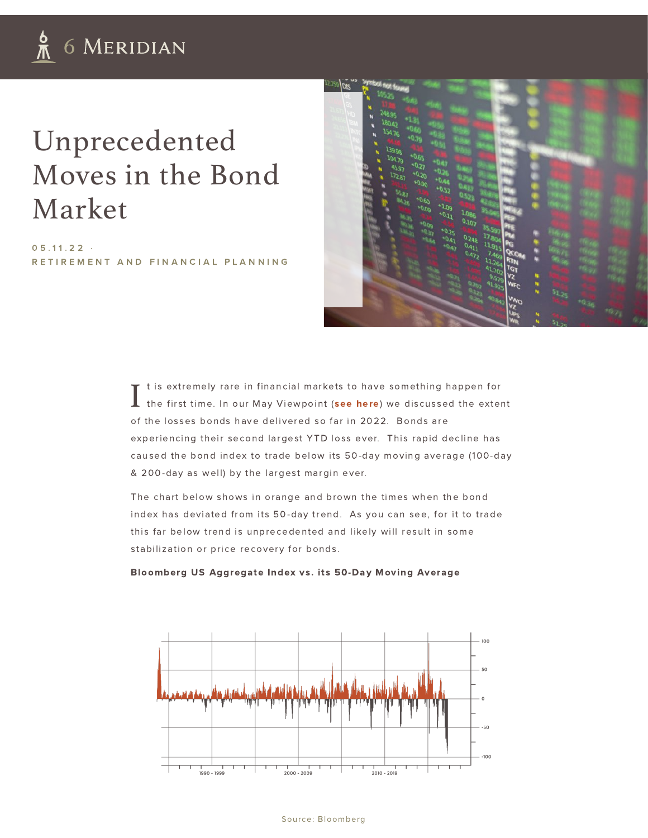## Unprecedented Moves in the Bond Market

 $05.11.22.$ RETIRE[M](https://6meridian.com/category/retirement-and-financial-planning)ENT AND FINANCIAL PLANNING



I t is extremely rare in financial markets to have something happen for the first time. In our May Viewpoint (see [here](https://6meridian.com/2022/05/viewpoint-may-2022)) we discussed the extent of the losses bonds have delivered so far in 2022. Bonds are experiencing their second largest YTD loss ever. This rapid decline has caused the bond index to trade below its 50-day moving average (100-day & 200-day as well) by the largest margin ever.

The chart below shows in orange and brown the times when the bond index has deviated from its 50-day trend. As you can see, for it to trade this far below trend is unprecedented and likely will result in some stabilization or price recovery for bonds.

Bloomberg US Aggregate Index vs. its 50-Day Moving Average



## Source: Bloomberg